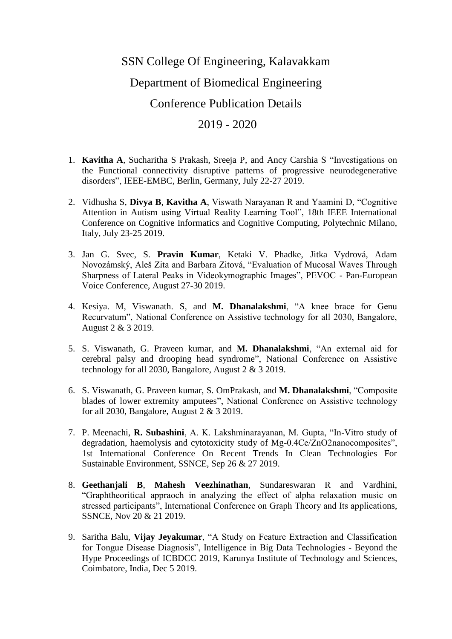## SSN College Of Engineering, Kalavakkam Department of Biomedical Engineering Conference Publication Details 2019 - 2020

- 1. **Kavitha A**, Sucharitha S Prakash, Sreeja P, and Ancy Carshia S "Investigations on the Functional connectivity disruptive patterns of progressive neurodegenerative disorders", IEEE-EMBC, Berlin, Germany, July 22-27 2019.
- 2. Vidhusha S, **Divya B**, **Kavitha A**, Viswath Narayanan R and Yaamini D, "Cognitive Attention in Autism using Virtual Reality Learning Tool", 18th IEEE International Conference on Cognitive Informatics and Cognitive Computing, Polytechnic Milano, Italy, July 23-25 2019.
- 3. Jan G. Svec, S. **Pravin Kumar**, Ketaki V. Phadke, Jitka Vydrová, Adam Novozámský, Aleš Zita and Barbara Zitová, "Evaluation of Mucosal Waves Through Sharpness of Lateral Peaks in Videokymographic Images", PEVOC - Pan-European Voice Conference, August 27-30 2019.
- 4. Kesiya. M, Viswanath. S, and **M. Dhanalakshmi**, "A knee brace for Genu Recurvatum", National Conference on Assistive technology for all 2030, Bangalore, August 2 & 3 2019.
- 5. S. Viswanath, G. Praveen kumar, and **M. Dhanalakshmi**, "An external aid for cerebral palsy and drooping head syndrome", National Conference on Assistive technology for all 2030, Bangalore, August 2 & 3 2019.
- 6. S. Viswanath, G. Praveen kumar, S. OmPrakash, and **M. Dhanalakshmi**, "Composite blades of lower extremity amputees", National Conference on Assistive technology for all 2030, Bangalore, August 2 & 3 2019.
- 7. P. Meenachi, **R. Subashini**, A. K. Lakshminarayanan, M. Gupta, "In-Vitro study of degradation, haemolysis and cytotoxicity study of Mg-0.4Ce/ZnO2nanocomposites", 1st International Conference On Recent Trends In Clean Technologies For Sustainable Environment, SSNCE, Sep 26 & 27 2019.
- 8. **Geethanjali B**, **Mahesh Veezhinathan**, Sundareswaran R and Vardhini, "Graphtheoritical appraoch in analyzing the effect of alpha relaxation music on stressed participants", International Conference on Graph Theory and Its applications, SSNCE, Nov 20 & 21 2019.
- 9. Saritha Balu, **Vijay Jeyakumar**, "A Study on Feature Extraction and Classification for Tongue Disease Diagnosis", Intelligence in Big Data Technologies - Beyond the Hype Proceedings of ICBDCC 2019, Karunya Institute of Technology and Sciences, Coimbatore, India, Dec 5 2019.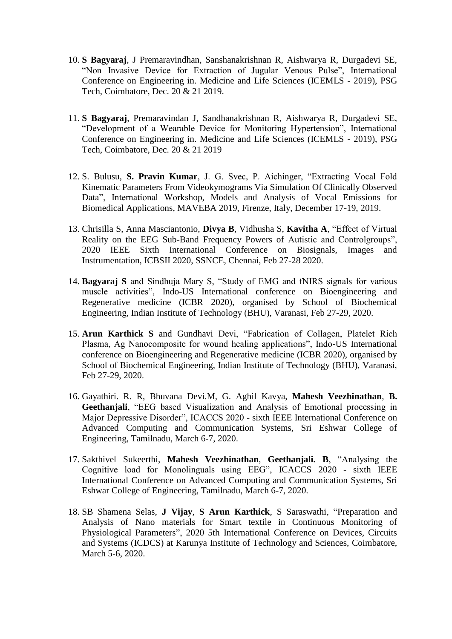- 10. **S Bagyaraj**, J Premaravindhan, Sanshanakrishnan R, Aishwarya R, Durgadevi SE, "Non Invasive Device for Extraction of Jugular Venous Pulse", International Conference on Engineering in. Medicine and Life Sciences (ICEMLS - 2019), PSG Tech, Coimbatore, Dec. 20 & 21 2019.
- 11. **S Bagyaraj**, Premaravindan J, Sandhanakrishnan R, Aishwarya R, Durgadevi SE, "Development of a Wearable Device for Monitoring Hypertension", International Conference on Engineering in. Medicine and Life Sciences (ICEMLS - 2019), PSG Tech, Coimbatore, Dec. 20 & 21 2019
- 12. S. Bulusu, **S. Pravin Kumar**, J. G. Svec, P. Aichinger, "Extracting Vocal Fold Kinematic Parameters From Videokymograms Via Simulation Of Clinically Observed Data", International Workshop, Models and Analysis of Vocal Emissions for Biomedical Applications, MAVEBA 2019, Firenze, Italy, December 17-19, 2019.
- 13. Chrisilla S, Anna Masciantonio, **Divya B**, Vidhusha S, **Kavitha A**, "Effect of Virtual Reality on the EEG Sub-Band Frequency Powers of Autistic and Controlgroups", 2020 IEEE Sixth International Conference on Biosignals, Images and Instrumentation, ICBSII 2020, SSNCE, Chennai, Feb 27-28 2020.
- 14. **Bagyaraj S** and Sindhuja Mary S, "Study of EMG and fNIRS signals for various muscle activities", Indo-US International conference on Bioengineering and Regenerative medicine (ICBR 2020), organised by School of Biochemical Engineering, Indian Institute of Technology (BHU), Varanasi, Feb 27-29, 2020.
- 15. **Arun Karthick S** and Gundhavi Devi, "Fabrication of Collagen, Platelet Rich Plasma, Ag Nanocomposite for wound healing applications", Indo-US International conference on Bioengineering and Regenerative medicine (ICBR 2020), organised by School of Biochemical Engineering, Indian Institute of Technology (BHU), Varanasi, Feb 27-29, 2020.
- 16. Gayathiri. R. R, Bhuvana Devi.M, G. Aghil Kavya, **Mahesh Veezhinathan**, **B. Geethanjali**, "EEG based Visualization and Analysis of Emotional processing in Major Depressive Disorder", ICACCS 2020 - sixth IEEE International Conference on Advanced Computing and Communication Systems, Sri Eshwar College of Engineering, Tamilnadu, March 6-7, 2020.
- 17. Sakthivel Sukeerthi, **Mahesh Veezhinathan**, **Geethanjali. B**, "Analysing the Cognitive load for Monolinguals using EEG", ICACCS 2020 - sixth IEEE International Conference on Advanced Computing and Communication Systems, Sri Eshwar College of Engineering, Tamilnadu, March 6-7, 2020.
- 18. SB Shamena Selas, **J Vijay**, **S Arun Karthick**, S Saraswathi, "Preparation and Analysis of Nano materials for Smart textile in Continuous Monitoring of Physiological Parameters", 2020 5th International Conference on Devices, Circuits and Systems (ICDCS) at Karunya Institute of Technology and Sciences, Coimbatore, March 5-6, 2020.